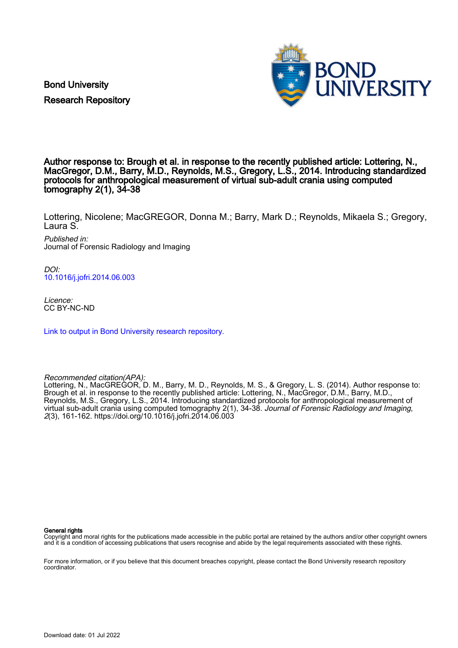Bond University Research Repository



### Author response to: Brough et al. in response to the recently published article: Lottering, N., MacGregor, D.M., Barry, M.D., Reynolds, M.S., Gregory, L.S., 2014. Introducing standardized protocols for anthropological measurement of virtual sub-adult crania using computed tomography 2(1), 34-38

Lottering, Nicolene; MacGREGOR, Donna M.; Barry, Mark D.; Reynolds, Mikaela S.; Gregory, Laura S.

Published in: Journal of Forensic Radiology and Imaging

DOI: [10.1016/j.jofri.2014.06.003](https://doi.org/10.1016/j.jofri.2014.06.003)

Licence: CC BY-NC-ND

[Link to output in Bond University research repository.](https://research.bond.edu.au/en/publications/abb07c7b-e614-4dd1-bc8c-f28ac8c93e6f)

Recommended citation(APA):

Lottering, N., MacGREGOR, D. M., Barry, M. D., Reynolds, M. S., & Gregory, L. S. (2014). Author response to: Brough et al. in response to the recently published article: Lottering, N., MacGregor, D.M., Barry, M.D., Reynolds, M.S., Gregory, L.S., 2014. Introducing standardized protocols for anthropological measurement of virtual sub-adult crania using computed tomography 2(1), 34-38. Journal of Forensic Radiology and Imaging, 2(3), 161-162. <https://doi.org/10.1016/j.jofri.2014.06.003>

#### General rights

Copyright and moral rights for the publications made accessible in the public portal are retained by the authors and/or other copyright owners and it is a condition of accessing publications that users recognise and abide by the legal requirements associated with these rights.

For more information, or if you believe that this document breaches copyright, please contact the Bond University research repository coordinator.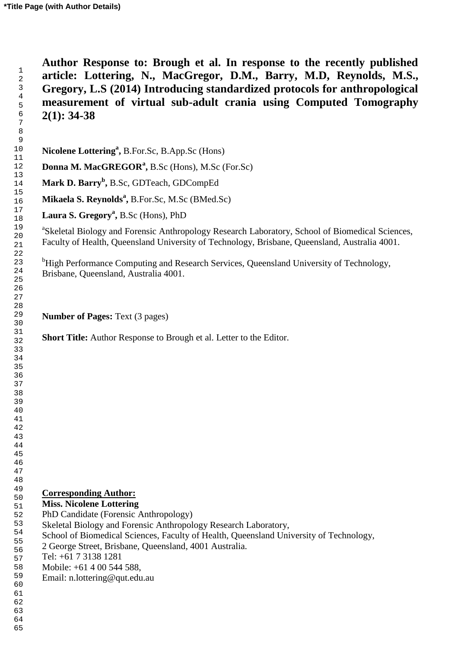**Author Response to: Brough et al. In response to the recently published article: Lottering, N., MacGregor, D.M., Barry, M.D, Reynolds, M.S., Gregory, L.S (2014) Introducing standardized protocols for anthropological measurement of virtual sub-adult crania using Computed Tomography 2(1): 34-38**

**Nicolene Lottering<sup>a</sup> ,** B.For.Sc, B.App.Sc (Hons)

**Donna M. MacGREGOR<sup>a</sup> ,** B.Sc (Hons), M.Sc (For.Sc)

**Mark D. Barry<sup>b</sup> ,** B.Sc, GDTeach, GDCompEd

**Mikaela S. Reynolds<sup>a</sup> ,** B.For.Sc, M.Sc (BMed.Sc)

**Laura S. Gregory<sup>a</sup> ,** B.Sc (Hons), PhD

<sup>a</sup>Skeletal Biology and Forensic Anthropology Research Laboratory, School of Biomedical Sciences, Faculty of Health, Queensland University of Technology, Brisbane, Queensland, Australia 4001.

<sup>b</sup>High Performance Computing and Research Services, Queensland University of Technology, Brisbane, Queensland, Australia 4001.

**Number of Pages:** Text (3 pages)

**Short Title:** Author Response to Brough et al. Letter to the Editor.

# **Corresponding Author:**

#### **Miss. Nicolene Lottering**

- PhD Candidate (Forensic Anthropology)
- Skeletal Biology and Forensic Anthropology Research Laboratory,
- School of Biomedical Sciences, Faculty of Health, Queensland University of Technology,
- 2 George Street, Brisbane, Queensland, 4001 Australia.
- Tel: +61 7 3138 1281
- Mobile: +61 4 00 544 588,
- Email: n.lottering@qut.edu.au

 

- 
- 
-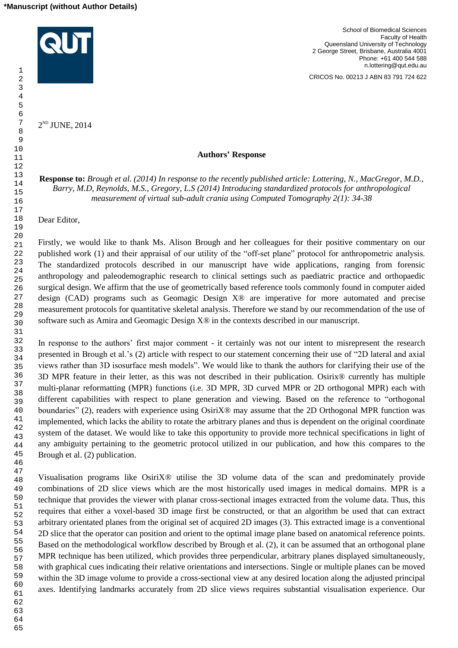

 $2^{\text{\tiny{ND}}}$  JUNE, 2014

School of Biomedical Sciences Faculty of Health Queensland University of Technology 2 George Street, Brisbane, Australia 4001 Phone: +61 400 544 588 n.lottering@qut.edu.au

CRICOS No. 00213 J ABN 83 791 724 622

### **Authors' Response**

**Response to:** *Brough et al. (2014) In response to the recently published article: Lottering, N., MacGregor, M.D., Barry, M.D, Reynolds, M.S., Gregory, L.S (2014) Introducing standardized protocols for anthropological measurement of virtual sub-adult crania using Computed Tomography 2(1): 34-38*

Dear Editor,

Firstly, we would like to thank Ms. Alison Brough and her colleagues for their positive commentary on our published work (1) and their appraisal of our utility of the "off-set plane" protocol for anthropometric analysis. The standardized protocols described in our manuscript have wide applications, ranging from forensic anthropology and paleodemographic research to clinical settings such as paediatric practice and orthopaedic surgical design. We affirm that the use of geometrically based reference tools commonly found in computer aided design (CAD) programs such as Geomagic Design X® are imperative for more automated and precise measurement protocols for quantitative skeletal analysis. Therefore we stand by our recommendation of the use of software such as Amira and Geomagic Design X® in the contexts described in our manuscript.

In response to the authors' first major comment - it certainly was not our intent to misrepresent the research presented in Brough et al.'s (2) article with respect to our statement concerning their use of "2D lateral and axial views rather than 3D isosurface mesh models". We would like to thank the authors for clarifying their use of the 3D MPR feature in their letter, as this was not described in their publication. Osirix® currently has multiple multi-planar reformatting (MPR) functions (i.e. 3D MPR, 3D curved MPR or 2D orthogonal MPR) each with different capabilities with respect to plane generation and viewing. Based on the reference to "orthogonal boundaries" (2), readers with experience using OsiriX® may assume that the 2D Orthogonal MPR function was implemented, which lacks the ability to rotate the arbitrary planes and thus is dependent on the original coordinate system of the dataset. We would like to take this opportunity to provide more technical specifications in light of any ambiguity pertaining to the geometric protocol utilized in our publication, and how this compares to the Brough et al. (2) publication.

Visualisation programs like OsiriX® utilise the 3D volume data of the scan and predominately provide combinations of 2D slice views which are the most historically used images in medical domains. MPR is a technique that provides the viewer with planar cross-sectional images extracted from the volume data. Thus, this requires that either a voxel-based 3D image first be constructed, or that an algorithm be used that can extract arbitrary orientated planes from the original set of acquired 2D images (3). This extracted image is a conventional 2D slice that the operator can position and orient to the optimal image plane based on anatomical reference points. Based on the methodological workflow described by Brough et al. (2), it can be assumed that an orthogonal plane MPR technique has been utilized, which provides three perpendicular, arbitrary planes displayed simultaneously, with graphical cues indicating their relative orientations and intersections. Single or multiple planes can be moved within the 3D image volume to provide a cross-sectional view at any desired location along the adjusted principal axes. Identifying landmarks accurately from 2D slice views requires substantial visualisation experience. Our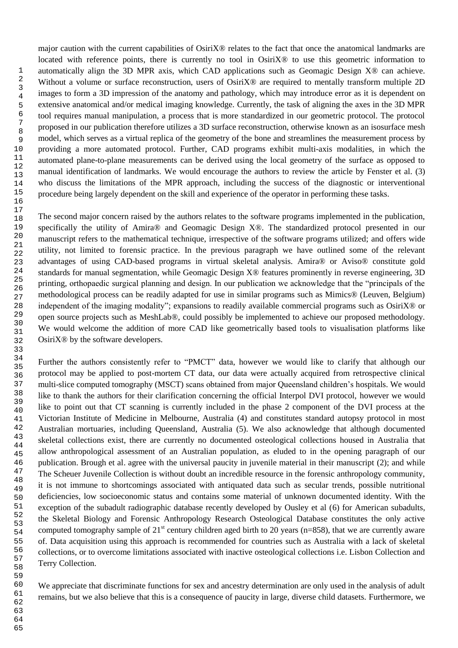major caution with the current capabilities of OsiriX® relates to the fact that once the anatomical landmarks are located with reference points, there is currently no tool in OsiriX<sup>®</sup> to use this geometric information to automatically align the 3D MPR axis, which CAD applications such as Geomagic Design X® can achieve. Without a volume or surface reconstruction, users of OsiriX<sup>®</sup> are required to mentally transform multiple 2D images to form a 3D impression of the anatomy and pathology, which may introduce error as it is dependent on extensive anatomical and/or medical imaging knowledge. Currently, the task of aligning the axes in the 3D MPR tool requires manual manipulation, a process that is more standardized in our geometric protocol. The protocol proposed in our publication therefore utilizes a 3D surface reconstruction, otherwise known as an isosurface mesh model, which serves as a virtual replica of the geometry of the bone and streamlines the measurement process by providing a more automated protocol. Further, CAD programs exhibit multi-axis modalities, in which the automated plane-to-plane measurements can be derived using the local geometry of the surface as opposed to manual identification of landmarks. We would encourage the authors to review the article by Fenster et al. (3) who discuss the limitations of the MPR approach, including the success of the diagnostic or interventional procedure being largely dependent on the skill and experience of the operator in performing these tasks.

The second major concern raised by the authors relates to the software programs implemented in the publication, specifically the utility of Amira® and Geomagic Design X®. The standardized protocol presented in our manuscript refers to the mathematical technique, irrespective of the software programs utilized; and offers wide utility, not limited to forensic practice. In the previous paragraph we have outlined some of the relevant advantages of using CAD-based programs in virtual skeletal analysis. Amira® or Aviso® constitute gold standards for manual segmentation, while Geomagic Design X® features prominently in reverse engineering, 3D printing, orthopaedic surgical planning and design. In our publication we acknowledge that the "principals of the methodological process can be readily adapted for use in similar programs such as Mimics® (Leuven, Belgium) independent of the imaging modality"; expansions to readily available commercial programs such as OsiriX® or open source projects such as MeshLab®, could possibly be implemented to achieve our proposed methodology. We would welcome the addition of more CAD like geometrically based tools to visualisation platforms like OsiriX® by the software developers.

Further the authors consistently refer to "PMCT" data, however we would like to clarify that although our protocol may be applied to post-mortem CT data, our data were actually acquired from retrospective clinical multi-slice computed tomography (MSCT) scans obtained from major Queensland children's hospitals. We would like to thank the authors for their clarification concerning the official Interpol DVI protocol, however we would like to point out that CT scanning is currently included in the phase 2 component of the DVI process at the Victorian Institute of Medicine in Melbourne, Australia (4) and constitutes standard autopsy protocol in most Australian mortuaries, including Queensland, Australia (5). We also acknowledge that although documented skeletal collections exist, there are currently no documented osteological collections housed in Australia that allow anthropological assessment of an Australian population, as eluded to in the opening paragraph of our publication. Brough et al. agree with the universal paucity in juvenile material in their manuscript (2); and while The Scheuer Juvenile Collection is without doubt an incredible resource in the forensic anthropology community, it is not immune to shortcomings associated with antiquated data such as secular trends, possible nutritional deficiencies, low socioeconomic status and contains some material of unknown documented identity. With the exception of the subadult radiographic database recently developed by Ousley et al (6) for American subadults, the Skeletal Biology and Forensic Anthropology Research Osteological Database constitutes the only active computed tomography sample of  $21<sup>st</sup>$  century children aged birth to 20 years (n=858), that we are currently aware of. Data acquisition using this approach is recommended for countries such as Australia with a lack of skeletal collections, or to overcome limitations associated with inactive osteological collections i.e. Lisbon Collection and Terry Collection.

We appreciate that discriminate functions for sex and ancestry determination are only used in the analysis of adult remains, but we also believe that this is a consequence of paucity in large, diverse child datasets. Furthermore, we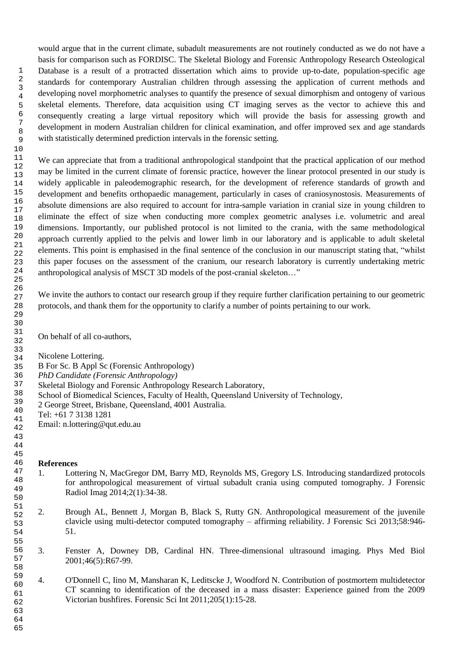would argue that in the current climate, subadult measurements are not routinely conducted as we do not have a basis for comparison such as FORDISC. The Skeletal Biology and Forensic Anthropology Research Osteological Database is a result of a protracted dissertation which aims to provide up-to-date, population-specific age standards for contemporary Australian children through assessing the application of current methods and developing novel morphometric analyses to quantify the presence of sexual dimorphism and ontogeny of various skeletal elements. Therefore, data acquisition using CT imaging serves as the vector to achieve this and consequently creating a large virtual repository which will provide the basis for assessing growth and development in modern Australian children for clinical examination, and offer improved sex and age standards with statistically determined prediction intervals in the forensic setting.

We can appreciate that from a traditional anthropological standpoint that the practical application of our method may be limited in the current climate of forensic practice, however the linear protocol presented in our study is widely applicable in paleodemographic research, for the development of reference standards of growth and development and benefits orthopaedic management, particularly in cases of craniosynostosis. Measurements of absolute dimensions are also required to account for intra-sample variation in cranial size in young children to eliminate the effect of size when conducting more complex geometric analyses i.e. volumetric and areal dimensions. Importantly, our published protocol is not limited to the crania, with the same methodological approach currently applied to the pelvis and lower limb in our laboratory and is applicable to adult skeletal elements. This point is emphasised in the final sentence of the conclusion in our manuscript stating that, "whilst this paper focuses on the assessment of the cranium, our research laboratory is currently undertaking metric anthropological analysis of MSCT 3D models of the post-cranial skeleton…"

We invite the authors to contact our research group if they require further clarification pertaining to our geometric protocols, and thank them for the opportunity to clarify a number of points pertaining to our work.

On behalf of all co-authors,

Nicolene Lottering.

- B For Sc. B Appl Sc (Forensic Anthropology)
- *PhD Candidate (Forensic Anthropology)*
- Skeletal Biology and Forensic Anthropology Research Laboratory,
- School of Biomedical Sciences, Faculty of Health, Queensland University of Technology,
- 2 George Street, Brisbane, Queensland, 4001 Australia.

Tel: +61 7 3138 1281

Email: n.lottering@qut.edu.au

## **References**

- 1. Lottering N, MacGregor DM, Barry MD, Reynolds MS, Gregory LS. Introducing standardized protocols for anthropological measurement of virtual subadult crania using computed tomography. J Forensic Radiol Imag 2014;2(1):34-38.
- 2. Brough AL, Bennett J, Morgan B, Black S, Rutty GN. Anthropological measurement of the juvenile clavicle using multi-detector computed tomography – affirming reliability. J Forensic Sci 2013;58:946- 51.
- 3. Fenster A, Downey DB, Cardinal HN. Three-dimensional ultrasound imaging. Phys Med Biol 2001;46(5):R67-99.
- 4. [O'Donnell C,](http://qut.summon.serialssolutions.com/search?s.dym=false&s.q=Author%3A%22O%26%2339%3BDonnell%2C+C%22) [Iino M,](http://qut.summon.serialssolutions.com/search?s.dym=false&s.q=Author%3A%22Iino%2C+M%22) [Mansharan K,](http://qut.summon.serialssolutions.com/search?s.dym=false&s.q=Author%3A%22Mansharan%2C+K%22) [Leditscke J,](http://qut.summon.serialssolutions.com/search?s.dym=false&s.q=Author%3A%22Leditscke%2C+J%22) [Woodford N.](http://qut.summon.serialssolutions.com/search?s.dym=false&s.q=Author%3A%22Woodford%2C+N%22) Contribution of postmortem multidetector CT scanning to identification of the deceased in a mass disaster: Experience gained from the 2009 Victorian bushfires. Forensic Sci Int 2011;205(1):15-28.